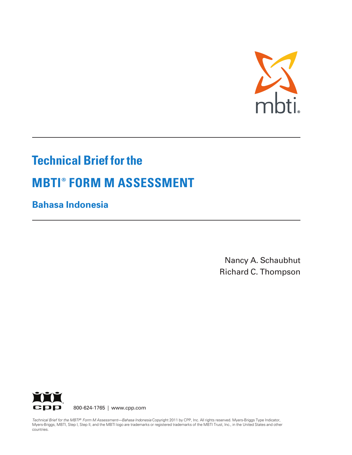

# **Technical Brief for the MBTI ® FORM M ASSESSMENT**

**Bahasa Indonesia**

Nancy A. Schaubhut Richard C. Thompson



*Technical Brief for the MBTI ® Form M Assessment—Bahasa Indonesia* Copyright 2011 by CPP, Inc. All rights reserved. Myers-Briggs Type Indicator, Myers-Briggs, MBTI, Step I, Step II, and the MBTI logo are trademarks or registered trademarks of the MBTI Trust, Inc., in the United States and other countries.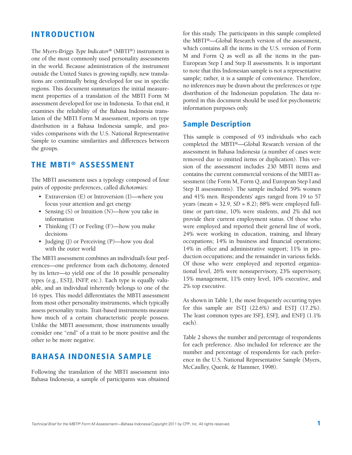## **INTRODUCTION**

The *Myers-Briggs Type Indicator®* (MBTI®) instrument is one of the most commonly used personality assessments in the world. Because administration of the instrument outside the United States is growing rapidly, new translations are continually being developed for use in specific regions. This document summarizes the initial measurement properties of a translation of the MBTI Form M assessment developed for use in Indonesia. To that end, it examines the reliability of the Bahasa Indonesia translation of the MBTI Form M assessment, reports on type distribution in a Bahasa Indonesia sample, and provides comparisons with the U.S. National Representative Sample to examine similarities and differences between the groups.

## **THE MBTI ® ASSESSMENT**

The MBTI assessment uses a typology composed of four pairs of opposite preferences, called *dichotomies:*

- Extraversion (E) or Introversion (I)—where you focus your attention and get energy
- Sensing (S) or Intuition (N)—how you take in information
- Thinking (T) or Feeling (F)—how you make decisions
- Judging (J) or Perceiving (P)—how you deal with the outer world

The MBTI assessment combines an individual's four preferences—one preference from each dichotomy, denoted by its letter—to yield one of the 16 possible personality types (e.g., ESTJ, INFP, etc.). Each type is equally valuable, and an individual inherently belongs to one of the 16 types. This model differentiates the MBTI assessment from most other personality instruments, which typically assess personality traits. Trait-based instruments measure how much of a certain characteristic people possess. Unlike the MBTI assessment, those instruments usually consider one "end" of a trait to be more positive and the other to be more negative.

## **BAHASA INDONESIA SAMPLE**

Following the translation of the MBTI assessment into Bahasa Indonesia, a sample of participants was obtained for this study. The participants in this sample completed the MBTI®—Global Research version of the assessment, which contains all the items in the U.S. version of Form M and Form Q as well as all the items in the pan-European Step I and Step II assessments. It is important to note that this Indonesian sample is not a representative sample; rather, it is a sample of convenience. Therefore, no inferences may be drawn about the preferences or type distribution of the Indonesian population. The data reported in this document should be used for psychometric information purposes only.

### **Sample Description**

This sample is composed of 93 individuals who each completed the MBTI®—Global Research version of the assessment in Bahasa Indonesia (a number of cases were removed due to omitted items or duplication). This version of the assessment includes 230 MBTI items and contains the current commercial versions of the MBTI assessment (the Form M, Form Q, and European Step I and Step II assessments). The sample included 59% women and 41% men. Respondents' ages ranged from 19 to 57 years (mean = 32.9, *SD* = 8.2); 88% were employed fulltime or part-time, 10% were students, and 2% did not provide their current employment status. Of those who were employed and reported their general line of work, 24% were working in education, training, and library occupations; 14% in business and financial operations; 14% in office and administrative support; 11% in production occupations; and the remainder in various fields. Of those who were employed and reported organizational level, 26% were nonsupervisory, 23% supervisory, 15% management, 11% entry level, 10% executive, and 2% top executive.

As shown in Table 1, the most frequently occurring types for this sample are ISTJ (22.6%) and ESTJ (17.2%). The least common types are ISFJ, ESFJ, and ENFJ (1.1% each).

Table 2 shows the number and percentage of respondents for each preference. Also included for reference are the number and percentage of respondents for each preference in the U.S. National Representative Sample (Myers, McCaulley, Quenk, & Hammer, 1998).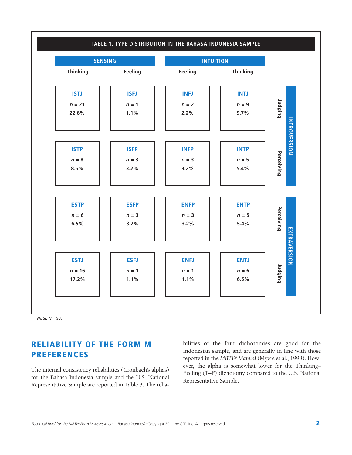

*Note: N* = 93.

## **RELIABILITY OF THE FORM M PREFERENCES**

The internal consistency reliabilities (Cronbach's alphas) for the Bahasa Indonesia sample and the U.S. National Representative Sample are reported in Table 3. The reliabilities of the four dichotomies are good for the Indonesian sample, and are generally in line with those reported in the *MBTI® Manual* (Myers et al., 1998). However, the alpha is somewhat lower for the Thinking– Feeling (T–F) dichotomy compared to the U.S. National Representative Sample.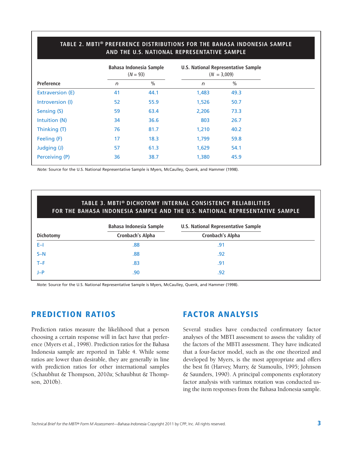#### **TABLE 2. MBTI® PREFERENCE DISTRIBUTIONS FOR THE BAHASA INDONESIA SAMPLE AND THE U.S. NATIONAL REPRESENTATIVE SAMPLE**

|                   |    | Bahasa Indonesia Sample<br>$(N = 93)$ | U.S. National Representative Sample<br>$(N = 3,009)$ |               |  |
|-------------------|----|---------------------------------------|------------------------------------------------------|---------------|--|
| <b>Preference</b> | n  | $\%$                                  | $\sqrt{n}$                                           | $\frac{0}{0}$ |  |
| Extraversion (E)  | 41 | 44.1                                  | 1,483                                                | 49.3          |  |
| Introversion (I)  | 52 | 55.9                                  | 1,526                                                | 50.7          |  |
| Sensing (S)       | 59 | 63.4                                  | 2,206                                                | 73.3          |  |
| Intuition (N)     | 34 | 36.6                                  | 803                                                  | 26.7          |  |
| Thinking (T)      | 76 | 81.7                                  | 1,210                                                | 40.2          |  |
| Feeling (F)       | 17 | 18.3                                  | 1,799                                                | 59.8          |  |
| Judging (J)       | 57 | 61.3                                  | 1,629                                                | 54.1          |  |
| Perceiving (P)    | 36 | 38.7                                  | 1,380                                                | 45.9          |  |

*Note:* Source for the U.S. National Representative Sample is Myers, McCaulley, Quenk, and Hammer (1998).

#### **TABLE 3. MBTI® DICHOTOMY INTERNAL CONSISTENCY RELIABILITIES FOR THE BAHASA INDONESIA SAMPLE AND THE U.S. NATIONAL REPRESENTATIVE SAMPLE**

|           | <b>Bahasa Indonesia Sample</b> | <b>U.S. National Representative Sample</b> |
|-----------|--------------------------------|--------------------------------------------|
| Dichotomy | Cronbach's Alpha               | Cronbach's Alpha                           |
| $E-1$     | .88                            | .91                                        |
| $S-N$     | .88                            | .92                                        |
| $T-F$     | .83                            | .91                                        |
| $J-P$     | .90                            | .92                                        |

*Note:* Source for the U.S. National Representative Sample is Myers, McCaulley, Quenk, and Hammer (1998).

## **PREDICTION RATIOS**

Prediction ratios measure the likelihood that a person choosing a certain response will in fact have that preference (Myers et al., 1998). Prediction ratios for the Bahasa Indonesia sample are reported in Table 4. While some ratios are lower than desirable, they are generally in line with prediction ratios for other international samples (Schaubhut & Thompson, 2010a; Schaubhut & Thompson, 2010b).

## **FACTOR ANALYSIS**

Several studies have conducted confirmatory factor analyses of the MBTI assessment to assess the validity of the factors of the MBTI assessment. They have indicated that a four-factor model, such as the one theorized and developed by Myers, is the most appropriate and offers the best fit (Harvey, Murry, & Stamoulis, 1995; Johnson & Saunders, 1990). A principal components exploratory factor analysis with varimax rotation was conducted using the item responses from the Bahasa Indonesia sample.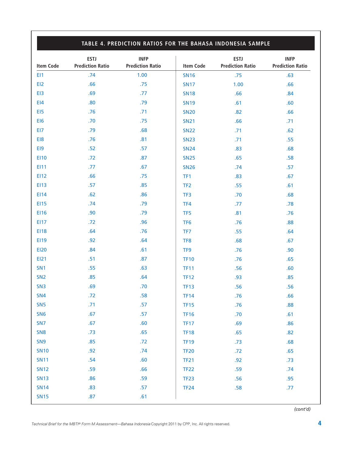#### **TABLE 4. PREDICTION RATIOS FOR THE BAHASA INDONESIA SAMPLE ESTJ INFP Item Code Prediction Ratio Prediction Ratio ESTJ INFP Item Code Prediction Ratio Prediction Ratio** EI1 .74 1.00 EI2 .66 .75 EI3 .69 .69 EI4 .80 .80 EI5 .76 .71 EI6 .70 .75 EI7 .79 .68 EI8 .81 EI9 .52 .57 EI10 .72 .87 EI11 .67 EI12 .66 .75 EI13 .57 .85 EI14 .62 .86 EI15 .74 .79 EI16 .90 .90 .79 EI17 .72 .96 EI18 .64 .76 EI19 .92 .64 EI20 .84 .61 EI21 .51 .87 SN1 .55 .63  $SN2$  .85 .64 SN3 .69 .69 SN4 .72 .58 SN5 .71 .57 SN6 .67 .57 SN7 .67 .67 SN8 .73 .65 SN9 .85 .72 SN10 .92 .74 SN11 .54 .60 SN12 .59 .66 SN13 .86 .59 SN14 .83 .57 SN15 .87 .61 SN16 .75 .63 SN17 1.00 .66 SN18 .66 .84 SN19 .61 .60 SN20 .82 .66 SN21 .66 .71 SN22 .71 .62 SN23 .71 .55 SN24 .83 .68 SN25 .65 .65 SN26 .74 .57 TF1 .83 .67 TF2 .55 .61 TF3 .70 .68 TF4 .77 .78 TF5 .81 .81 .76 TF6 .88 TF7 .55 .64 TF8 .68 .67 TF9 .376 .90 TF10 .05 **TF11** .56 .60 TF12 .93 .85 TF13 .56 .56 TF14 .76 .66 **TF15 .76 .88** TF16 .70 .61 TF17 .69 .69 **TF18** .65 .65 TF19 .73 .68 TF20 .72 .65 TF21 .92 .92 TF22 .59 .74 **TF23** .56 .95 TF24 .58 .77

*(cont'd)*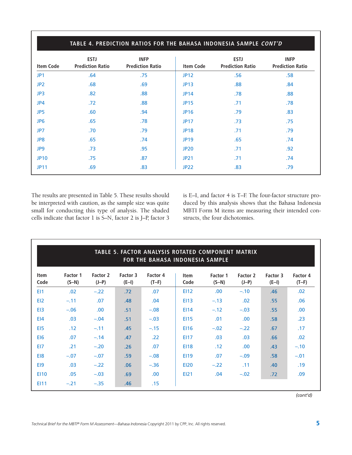| <b>Item Code</b> | <b>ESTJ</b><br><b>Prediction Ratio</b> | <b>INFP</b><br><b>Prediction Ratio</b> | <b>Item Code</b> | <b>ESTJ</b><br><b>Prediction Ratio</b> | <b>INFP</b><br><b>Prediction Ratio</b> |
|------------------|----------------------------------------|----------------------------------------|------------------|----------------------------------------|----------------------------------------|
| JP <sub>1</sub>  | .64                                    | .75                                    | <b>JP12</b>      | .56                                    | .58                                    |
| JP <sub>2</sub>  | .68                                    | .69                                    | <b>JP13</b>      | .88                                    | .84                                    |
| JP3              | .82                                    | .88                                    | <b>JP14</b>      | .78                                    | .88                                    |
| JP4              | .72                                    | .88                                    | <b>JP15</b>      | .71                                    | .78                                    |
| JP <sub>5</sub>  | .60                                    | .94                                    | <b>JP16</b>      | .79                                    | .83                                    |
| JP <sub>6</sub>  | .65                                    | .78                                    | <b>JP17</b>      | .73                                    | .75                                    |
| JP7              | .70                                    | .79                                    | <b>JP18</b>      | .71                                    | .79                                    |
| JP8              | .65                                    | .74                                    | <b>JP19</b>      | .65                                    | .74                                    |
| JP9              | .73                                    | .95                                    | <b>JP20</b>      | .71                                    | .92                                    |
| <b>JP10</b>      | .75                                    | .87                                    | <b>JP21</b>      | .71                                    | .74                                    |
| <b>JP11</b>      | .69                                    | .83                                    | <b>JP22</b>      | .83                                    | .79                                    |

The results are presented in Table 5. These results should be interpreted with caution, as the sample size was quite small for conducting this type of analysis. The shaded cells indicate that factor 1 is S–N, factor 2 is J–P, factor 3 is E–I, and factor 4 is T–F. The four-factor structure produced by this analysis shows that the Bahasa Indonesia MBTI Form M items are measuring their intended constructs, the four dichotomies.

| TABLE 5. FACTOR ANALYSIS ROTATED COMPONENT MATRIX<br>FOR THE BAHASA INDONESIA SAMPLE |                     |                     |                     |                     |                     |                     |                     |                     |                     |
|--------------------------------------------------------------------------------------|---------------------|---------------------|---------------------|---------------------|---------------------|---------------------|---------------------|---------------------|---------------------|
| <b>Item</b><br>Code                                                                  | Factor 1<br>$(S-N)$ | Factor 2<br>$(J-P)$ | Factor 3<br>$(E-I)$ | Factor 4<br>$(T-F)$ | <b>Item</b><br>Code | Factor 1<br>$(S-N)$ | Factor 2<br>$(J-P)$ | Factor 3<br>$(E-I)$ | Factor 4<br>$(T-F)$ |
| E11                                                                                  | .02                 | $-.22$              | .72                 | .07                 | <b>EI12</b>         | .00                 | $-.10$              | .46                 | .02                 |
| E12                                                                                  | $-.11$              | .07                 | .48                 | .04                 | <b>EI13</b>         | $-.13$              | .02                 | .55                 | .06                 |
| E <sub>13</sub>                                                                      | $-.06$              | .00.                | .51                 | $-.08$              | <b>EI14</b>         | $-.12$              | $-.03$              | .55                 | .00                 |
| E <sub>14</sub>                                                                      | .03                 | $-.04$              | .51                 | $-.03$              | <b>EI15</b>         | .01                 | .00.                | .58                 | .23                 |
| E <sub>15</sub>                                                                      | .12                 | $-.11$              | .45                 | $-.15$              | <b>EI16</b>         | $-.02$              | $-.22$              | .67                 | .17                 |
| EI <sub>6</sub>                                                                      | .07                 | $-.14$              | .47                 | .22                 | <b>EI17</b>         | .03                 | .03                 | .66                 | .02                 |
| EI7                                                                                  | .21                 | $-.20$              | .26                 | .07                 | <b>EI18</b>         | .12                 | .00.                | .43                 | $-.10$              |
| E <sub>18</sub>                                                                      | $-.07$              | $-.07$              | .59                 | $-.08$              | <b>EI19</b>         | .07                 | $-.09$              | .58                 | $-.01$              |
| E <sub>19</sub>                                                                      | .03                 | $-.22$              | .06                 | $-.36$              | <b>EI20</b>         | $-.22$              | .11                 | .40                 | .19                 |
| <b>E110</b>                                                                          | .05                 | $-.03$              | .69                 | .00                 | <b>EI21</b>         | .04                 | $-.02$              | .72                 | .09                 |
| E111                                                                                 | $-.21$              | $-.35$              | .46                 | .15                 |                     |                     |                     |                     |                     |

*(cont'd)*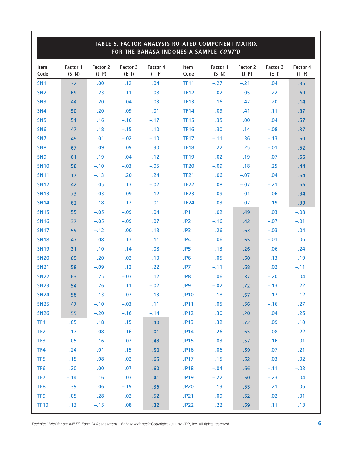| TABLE 5. FACTOR ANALYSIS ROTATED COMPONENT MATRIX<br>FOR THE BAHASA INDONESIA SAMPLE CONT'D |                     |                              |                     |                     |                     |                     |                     |                     |                     |
|---------------------------------------------------------------------------------------------|---------------------|------------------------------|---------------------|---------------------|---------------------|---------------------|---------------------|---------------------|---------------------|
| <b>Item</b><br>Code                                                                         | Factor 1<br>$(S-N)$ | Factor 2<br>$(J-P)$          | Factor 3<br>$(E-I)$ | Factor 4<br>$(T-F)$ | <b>Item</b><br>Code | Factor 1<br>$(S-N)$ | Factor 2<br>$(J-P)$ | Factor 3<br>$(E-I)$ | Factor 4<br>$(T-F)$ |
| SN <sub>1</sub>                                                                             | .32                 | .00                          | .12                 | .04                 | <b>TF11</b>         | $-.27$              | $-.21$              | .04                 | .35                 |
| SN <sub>2</sub>                                                                             | .69                 | .23                          | .11                 | .08                 | <b>TF12</b>         | .02                 | .05                 | .22                 | .69                 |
| SN <sub>3</sub>                                                                             | .44                 | .20                          | .04                 | $-.03$              | <b>TF13</b>         | .16                 | .47                 | $-.20$              | .14                 |
| SN <sub>4</sub>                                                                             | .50                 | .20                          | $-.09$              | $-.01$              | <b>TF14</b>         | .09                 | .41                 | $-.11$              | .37                 |
| SN <sub>5</sub>                                                                             | .51                 | .16                          | $-.16$              | $-.17$              | <b>TF15</b>         | .35                 | .00                 | .04                 | .57                 |
| SN <sub>6</sub>                                                                             | .47                 | .18                          | $-.15$              | .10                 | <b>TF16</b>         | .30                 | .14                 | $-.08$              | .37                 |
| SN <sub>7</sub>                                                                             | .49                 | .01                          | $-.02$              | $-.10$              | <b>TF17</b>         | $-.11$              | .36                 | $-.13$              | .50 <sub>1</sub>    |
| SN <sub>8</sub>                                                                             | .67                 | .09                          | .09                 | .30                 | <b>TF18</b>         | .22                 | .25                 | $-.01$              | .52                 |
| SN <sub>9</sub>                                                                             | .61                 | .19                          | $-.04$              | $-.12$              | <b>TF19</b>         | $-.02$              | $-.19$              | $-.07$              | .56                 |
| <b>SN10</b>                                                                                 | .56                 | $-.10$                       | $-.03$              | $-.05$              | <b>TF20</b>         | $-.09$              | .18                 | .25                 | .44                 |
| <b>SN11</b>                                                                                 | .17                 | $-.13$                       | .20                 | .24                 | <b>TF21</b>         | .06                 | $-.07$              | .04                 | .64                 |
| <b>SN12</b>                                                                                 | .42                 | .05                          | .13                 | $-.02$              | <b>TF22</b>         | .08                 | $-.07$              | $-.21$              | .56                 |
| <b>SN13</b>                                                                                 | .73                 | $-.03$                       | $-.09$              | $-.12$              | <b>TF23</b>         | $-.09$              | $-.01$              | $-.06$              | .34                 |
| <b>SN14</b>                                                                                 | .62                 | .18                          | $-.12$              | $-.01$              | <b>TF24</b>         | $-.03$              | $-.02$              | .19                 | .30 <sub>0</sub>    |
| <b>SN15</b>                                                                                 | .55                 | $-.05$                       | $-.09$              | .04                 | JP1                 | .02                 | .49                 | .03                 | $-.08$              |
| <b>SN16</b>                                                                                 | .37                 | $-.05$                       | $-.09$              | .07                 | JP <sub>2</sub>     | $-.16$              | .42                 | $-.07$              | $-.01$              |
| <b>SN17</b>                                                                                 | .59                 | $-.12$                       | .00                 | .13                 | JP3                 | .26                 | .63                 | $-.03$              | .04                 |
| <b>SN18</b>                                                                                 | .47                 | .08                          | .13                 | .11                 | JP4                 | .06                 | .65                 | $-.01$              | .06                 |
| <b>SN19</b>                                                                                 | .31                 | $-.10$                       | .14                 | $-.08$              | JP5                 | $-.13$              | .26                 | .06                 | .24                 |
| <b>SN20</b>                                                                                 | .69                 | .20                          | .02                 | .10                 | JP <sub>6</sub>     | .05                 | .50 <sub>1</sub>    | $-.13$              | $-.19$              |
| <b>SN21</b>                                                                                 | .58                 | $-.09$                       | .12                 | .22                 | JP7                 | $-.11$              | .68                 | .02                 | $-.11$              |
| <b>SN22</b>                                                                                 | .63                 | .25                          | $-.03$              | .12                 | JP8                 | .06                 | .37                 | $-.20$              | .04                 |
| <b>SN23</b>                                                                                 | .54                 | .26                          | .11                 | $-.02$              | JP9                 | $-.02$              | .72                 | $-.13$              | .22                 |
| <b>SN24</b>                                                                                 | .58                 | .13                          | $-.07$              | .13                 | <b>JP10</b>         | .18                 | .67                 | $-.17$              | .12                 |
| <b>SN25</b>                                                                                 | .47                 | $-.10$                       | $-.03$              | $\sim$ $.11$        | <b>JP11</b>         | .05 <sub>1</sub>    | .56 <sub>1</sub>    | $-.16$              | .27                 |
| <b>SN26</b>                                                                                 | .55 <sub>1</sub>    | $-.20$                       | $-.16$              | $-.14$              | <b>JP12</b>         | .30                 | .20 <sub>1</sub>    | .04                 | .26                 |
| TF1                                                                                         | .05                 | .18                          | .15                 | .40                 | JP13                | .32                 | .72                 | .09                 | .10                 |
| TF <sub>2</sub>                                                                             | .17                 | 0.08                         | .16                 | $-.01$              | <b>JP14</b>         | .26                 | .65                 | 0.08                | .22                 |
| TF3                                                                                         | .05                 | .16                          | .02                 | .48                 | <b>JP15</b>         | .03                 | .57                 | $-.16$              | .01                 |
| TF4                                                                                         | .24                 | $-.01$                       | .15                 | .50                 | <b>JP16</b>         | .06                 | .59 <sub>1</sub>    | $-.07$              | .21                 |
| TF <sub>5</sub>                                                                             | $-.15$              | .08                          | .02                 | .65                 | <b>JP17</b>         | .15                 | .52                 | $-.03$              | .02                 |
| TF <sub>6</sub>                                                                             | .20                 | .00                          | .07                 | .60                 | <b>JP18</b>         | $-.04$              | .66                 | $-.11$              | $-.03$              |
| TF7                                                                                         | $-.14$              | .16                          | .03                 | .41                 | <b>JP19</b>         | $-.22$              | .50 <sub>1</sub>    | $-.23$              | .04                 |
| TF8                                                                                         | .39                 | $\overline{\phantom{0}}$ .06 | $-.19$              | .36                 | <b>JP20</b>         | .13                 | .55                 | .21                 | .06                 |
| TF9                                                                                         | .05                 | $\overline{\phantom{1}}$ .28 | $-.02$              | .52                 | JP21                | .09                 | .52                 | .02                 | .01                 |
| <b>TF10</b>                                                                                 | .13 <sub>1</sub>    | $-.15$                       | .08                 | .32 <sub>0</sub>    | JP22                | .22                 | .59 <sub>°</sub>    | .11                 | .13                 |

*Technical Brief for the MBTI ® Form <sup>M</sup> Assessment—Bahasa Indonesia* Copyright <sup>2011</sup> by CPP, Inc. All rights reserved. **6**